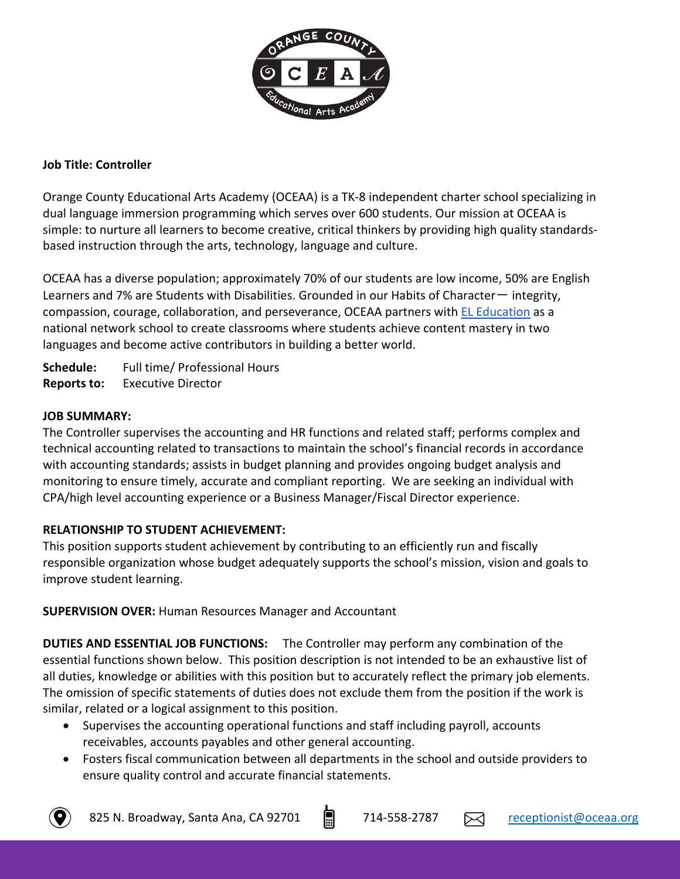

### **Job Title: Controller**

Orange County Educational Arts Academy (OCEAA) is a TK-8 independent charter school specializing in dual language immersion programming which serves over 600 students. Our mission at OCEAA is simple: to nurture all learners to become creative, critical thinkers by providing high quality standardsbased instruction through the arts, technology, language and culture.

OCEAA has a diverse population; approximately 70% of our students are low income, 50% are English Learners and 7% are Students with Disabilities. Grounded in our Habits of Character $-$  integrity, compassion, courage, collaboration, and perseverance, OCEAA partners with EL Education as a national network school to create classrooms where students achieve content mastery in two languages and become active contributors in building a better world.

**Schedule:** Full time/ Professional Hours **Reports to:** Executive Director

#### **JOB SUMMARY:**

The Controller supervises the accounting and HR functions and related staff; performs complex and technical accounting related to transactions to maintain the school's financial records in accordance with accounting standards; assists in budget planning and provides ongoing budget analysis and monitoring to ensure timely, accurate and compliant reporting. We are seeking an individual with CPA/high level accounting experience or a Business Manager/Fiscal Director experience.

### **RELATIONSHIP TO STUDENT ACHIEVEMENT:**

This position supports student achievement by contributing to an efficiently run and fiscally responsible organization whose budget adequately supports the school's mission, vision and goals to improve student learning.

**SUPERVISION OVER:** Human Resources Manager and Accountant

**DUTIES AND ESSENTIAL JOB FUNCTIONS:** The Controller may perform any combination of the essential functions shown below. This position description is not intended to be an exhaustive list of all duties, knowledge or abilities with this position but to accurately reflect the primary job elements. The omission of specific statements of duties does not exclude them from the position if the work is similar, related or a logical assignment to this position.

- Supervises the accounting operational functions and staff including payroll, accounts receivables, accounts payables and other general accounting.
- Fosters fiscal communication between all departments in the school and outside providers to ensure quality control and accurate financial statements.

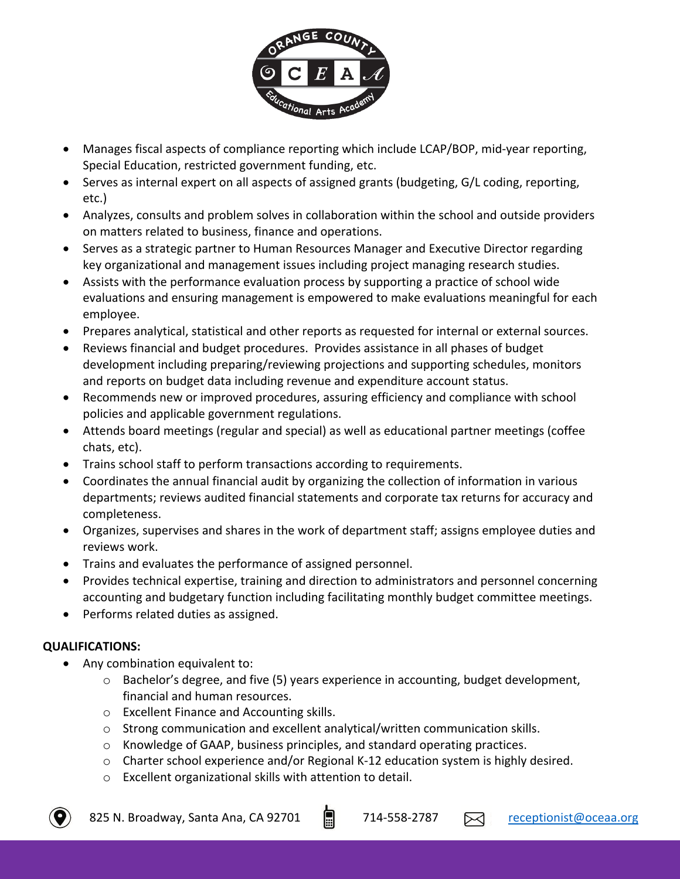

- Manages fiscal aspects of compliance reporting which include LCAP/BOP, mid-year reporting, Special Education, restricted government funding, etc.
- Serves as internal expert on all aspects of assigned grants (budgeting, G/L coding, reporting, etc.)
- Analyzes, consults and problem solves in collaboration within the school and outside providers on matters related to business, finance and operations.
- Serves as a strategic partner to Human Resources Manager and Executive Director regarding key organizational and management issues including project managing research studies.
- Assists with the performance evaluation process by supporting a practice of school wide evaluations and ensuring management is empowered to make evaluations meaningful for each employee.
- Prepares analytical, statistical and other reports as requested for internal or external sources.
- Reviews financial and budget procedures. Provides assistance in all phases of budget development including preparing/reviewing projections and supporting schedules, monitors and reports on budget data including revenue and expenditure account status.
- Recommends new or improved procedures, assuring efficiency and compliance with school policies and applicable government regulations.
- Attends board meetings (regular and special) as well as educational partner meetings (coffee chats, etc).
- Trains school staff to perform transactions according to requirements.
- Coordinates the annual financial audit by organizing the collection of information in various departments; reviews audited financial statements and corporate tax returns for accuracy and completeness.
- Organizes, supervises and shares in the work of department staff; assigns employee duties and reviews work.
- Trains and evaluates the performance of assigned personnel.
- Provides technical expertise, training and direction to administrators and personnel concerning accounting and budgetary function including facilitating monthly budget committee meetings.
- Performs related duties as assigned.

# **QUALIFICATIONS:**

- Any combination equivalent to:
	- $\circ$  Bachelor's degree, and five (5) years experience in accounting, budget development, financial and human resources.
	- o Excellent Finance and Accounting skills.
	- $\circ$  Strong communication and excellent analytical/written communication skills.
	- o Knowledge of GAAP, business principles, and standard operating practices.
	- $\circ$  Charter school experience and/or Regional K-12 education system is highly desired.
	- o Excellent organizational skills with attention to detail.

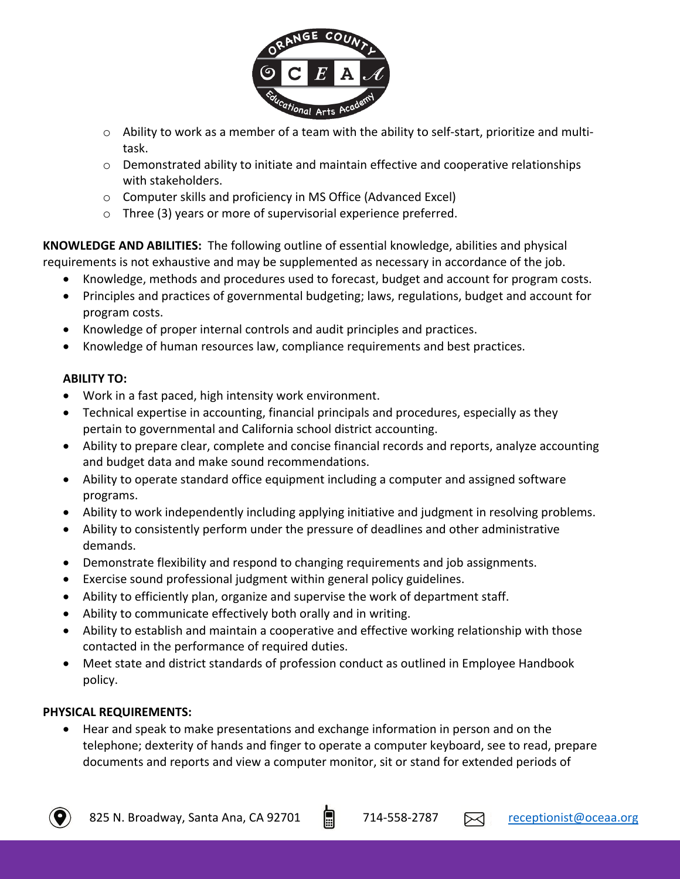

- $\circ$  Ability to work as a member of a team with the ability to self-start, prioritize and multitask.
- o Demonstrated ability to initiate and maintain effective and cooperative relationships with stakeholders.
- o Computer skills and proficiency in MS Office (Advanced Excel)
- o Three (3) years or more of supervisorial experience preferred.

**KNOWLEDGE AND ABILITIES:** The following outline of essential knowledge, abilities and physical requirements is not exhaustive and may be supplemented as necessary in accordance of the job.

- Knowledge, methods and procedures used to forecast, budget and account for program costs.
- Principles and practices of governmental budgeting; laws, regulations, budget and account for program costs.
- Knowledge of proper internal controls and audit principles and practices.
- Knowledge of human resources law, compliance requirements and best practices.

## **ABILITY TO:**

- Work in a fast paced, high intensity work environment.
- Technical expertise in accounting, financial principals and procedures, especially as they pertain to governmental and California school district accounting.
- Ability to prepare clear, complete and concise financial records and reports, analyze accounting and budget data and make sound recommendations.
- Ability to operate standard office equipment including a computer and assigned software programs.
- Ability to work independently including applying initiative and judgment in resolving problems.
- Ability to consistently perform under the pressure of deadlines and other administrative demands.
- Demonstrate flexibility and respond to changing requirements and job assignments.
- Exercise sound professional judgment within general policy guidelines.
- Ability to efficiently plan, organize and supervise the work of department staff.
- Ability to communicate effectively both orally and in writing.
- Ability to establish and maintain a cooperative and effective working relationship with those contacted in the performance of required duties.
- Meet state and district standards of profession conduct as outlined in Employee Handbook policy.

### **PHYSICAL REQUIREMENTS:**

• Hear and speak to make presentations and exchange information in person and on the telephone; dexterity of hands and finger to operate a computer keyboard, see to read, prepare documents and reports and view a computer monitor, sit or stand for extended periods of